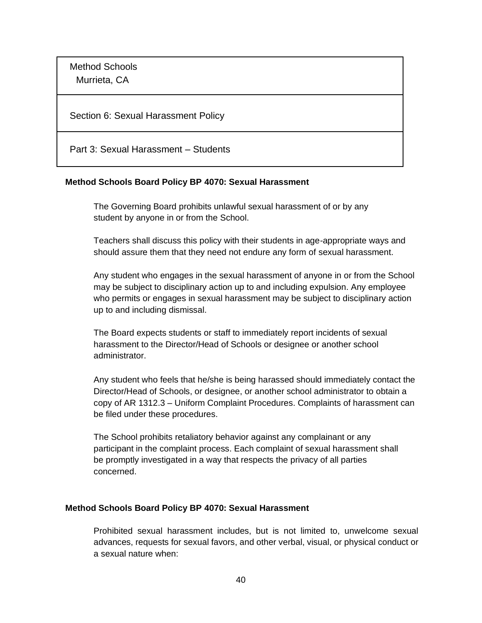Method Schools Murrieta, CA

Section 6: Sexual Harassment Policy

Part 3: Sexual Harassment – Students

#### **Method Schools Board Policy BP 4070: Sexual Harassment**

The Governing Board prohibits unlawful sexual harassment of or by any student by anyone in or from the School.

Teachers shall discuss this policy with their students in age-appropriate ways and should assure them that they need not endure any form of sexual harassment.

Any student who engages in the sexual harassment of anyone in or from the School may be subject to disciplinary action up to and including expulsion. Any employee who permits or engages in sexual harassment may be subject to disciplinary action up to and including dismissal.

The Board expects students or staff to immediately report incidents of sexual harassment to the Director/Head of Schools or designee or another school administrator.

Any student who feels that he/she is being harassed should immediately contact the Director/Head of Schools, or designee, or another school administrator to obtain a copy of AR 1312.3 – Uniform Complaint Procedures. Complaints of harassment can be filed under these procedures.

The School prohibits retaliatory behavior against any complainant or any participant in the complaint process. Each complaint of sexual harassment shall be promptly investigated in a way that respects the privacy of all parties concerned.

#### **Method Schools Board Policy BP 4070: Sexual Harassment**

Prohibited sexual harassment includes, but is not limited to, unwelcome sexual advances, requests for sexual favors, and other verbal, visual, or physical conduct or a sexual nature when: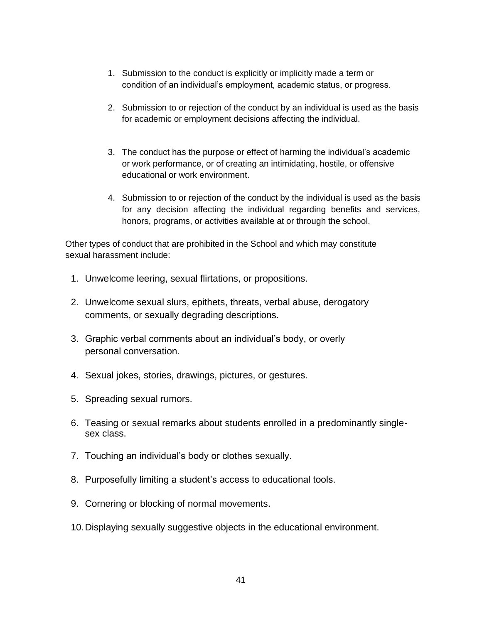- 1. Submission to the conduct is explicitly or implicitly made a term or condition of an individual's employment, academic status, or progress.
- 2. Submission to or rejection of the conduct by an individual is used as the basis for academic or employment decisions affecting the individual.
- 3. The conduct has the purpose or effect of harming the individual's academic or work performance, or of creating an intimidating, hostile, or offensive educational or work environment.
- 4. Submission to or rejection of the conduct by the individual is used as the basis for any decision affecting the individual regarding benefits and services, honors, programs, or activities available at or through the school.

Other types of conduct that are prohibited in the School and which may constitute sexual harassment include:

- 1. Unwelcome leering, sexual flirtations, or propositions.
- 2. Unwelcome sexual slurs, epithets, threats, verbal abuse, derogatory comments, or sexually degrading descriptions.
- 3. Graphic verbal comments about an individual's body, or overly personal conversation.
- 4. Sexual jokes, stories, drawings, pictures, or gestures.
- 5. Spreading sexual rumors.
- 6. Teasing or sexual remarks about students enrolled in a predominantly singlesex class.
- 7. Touching an individual's body or clothes sexually.
- 8. Purposefully limiting a student's access to educational tools.
- 9. Cornering or blocking of normal movements.
- 10.Displaying sexually suggestive objects in the educational environment.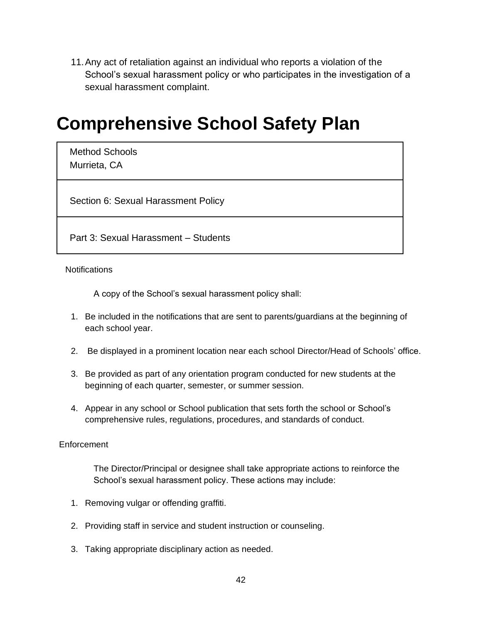11.Any act of retaliation against an individual who reports a violation of the School's sexual harassment policy or who participates in the investigation of a sexual harassment complaint.

### **Comprehensive School Safety Plan**

Method Schools Murrieta, CA

Section 6: Sexual Harassment Policy

Part 3: Sexual Harassment – Students

**Notifications** 

A copy of the School's sexual harassment policy shall:

- 1. Be included in the notifications that are sent to parents/guardians at the beginning of each school year.
- 2. Be displayed in a prominent location near each school Director/Head of Schools' office.
- 3. Be provided as part of any orientation program conducted for new students at the beginning of each quarter, semester, or summer session.
- 4. Appear in any school or School publication that sets forth the school or School's comprehensive rules, regulations, procedures, and standards of conduct.

#### Enforcement

The Director/Principal or designee shall take appropriate actions to reinforce the School's sexual harassment policy. These actions may include:

- 1. Removing vulgar or offending graffiti.
- 2. Providing staff in service and student instruction or counseling.
- 3. Taking appropriate disciplinary action as needed.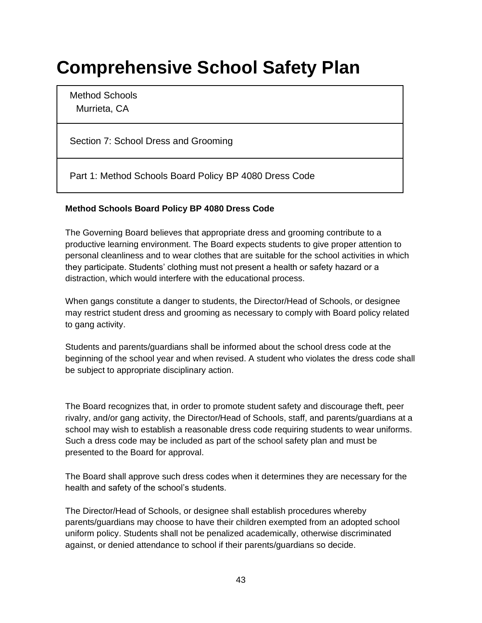# **Comprehensive School Safety Plan**

Method Schools Murrieta, CA

Section 7: School Dress and Grooming

Part 1: Method Schools Board Policy BP 4080 Dress Code

#### **Method Schools Board Policy BP 4080 Dress Code**

The Governing Board believes that appropriate dress and grooming contribute to a productive learning environment. The Board expects students to give proper attention to personal cleanliness and to wear clothes that are suitable for the school activities in which they participate. Students' clothing must not present a health or safety hazard or a distraction, which would interfere with the educational process.

When gangs constitute a danger to students, the Director/Head of Schools, or designee may restrict student dress and grooming as necessary to comply with Board policy related to gang activity.

Students and parents/guardians shall be informed about the school dress code at the beginning of the school year and when revised. A student who violates the dress code shall be subject to appropriate disciplinary action.

The Board recognizes that, in order to promote student safety and discourage theft, peer rivalry, and/or gang activity, the Director/Head of Schools, staff, and parents/guardians at a school may wish to establish a reasonable dress code requiring students to wear uniforms. Such a dress code may be included as part of the school safety plan and must be presented to the Board for approval.

The Board shall approve such dress codes when it determines they are necessary for the health and safety of the school's students.

The Director/Head of Schools, or designee shall establish procedures whereby parents/guardians may choose to have their children exempted from an adopted school uniform policy. Students shall not be penalized academically, otherwise discriminated against, or denied attendance to school if their parents/guardians so decide.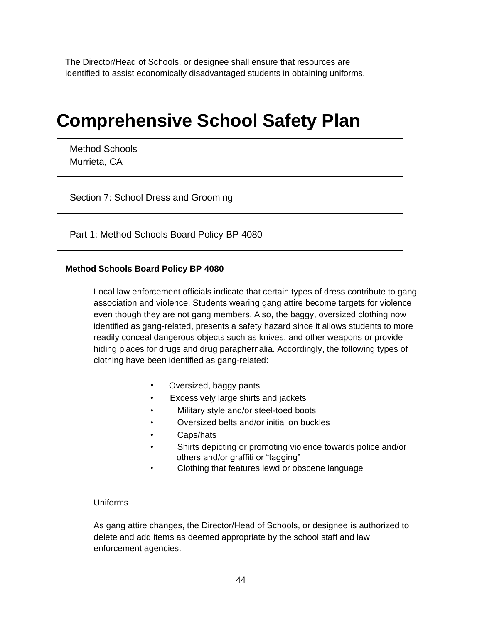The Director/Head of Schools, or designee shall ensure that resources are identified to assist economically disadvantaged students in obtaining uniforms.

### **Comprehensive School Safety Plan**

Method Schools Murrieta, CA

Section 7: School Dress and Grooming

Part 1: Method Schools Board Policy BP 4080

#### **Method Schools Board Policy BP 4080**

Local law enforcement officials indicate that certain types of dress contribute to gang association and violence. Students wearing gang attire become targets for violence even though they are not gang members. Also, the baggy, oversized clothing now identified as gang-related, presents a safety hazard since it allows students to more readily conceal dangerous objects such as knives, and other weapons or provide hiding places for drugs and drug paraphernalia. Accordingly, the following types of clothing have been identified as gang-related:

- Oversized, baggy pants
- Excessively large shirts and jackets
- Military style and/or steel-toed boots
- Oversized belts and/or initial on buckles
- Caps/hats
- Shirts depicting or promoting violence towards police and/or others and/or graffiti or "tagging"
- Clothing that features lewd or obscene language

#### Uniforms

As gang attire changes, the Director/Head of Schools, or designee is authorized to delete and add items as deemed appropriate by the school staff and law enforcement agencies.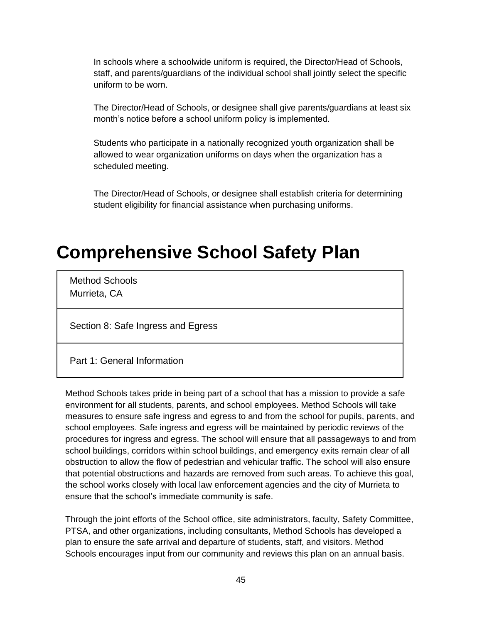In schools where a schoolwide uniform is required, the Director/Head of Schools, staff, and parents/guardians of the individual school shall jointly select the specific uniform to be worn.

The Director/Head of Schools, or designee shall give parents/guardians at least six month's notice before a school uniform policy is implemented.

Students who participate in a nationally recognized youth organization shall be allowed to wear organization uniforms on days when the organization has a scheduled meeting.

The Director/Head of Schools, or designee shall establish criteria for determining student eligibility for financial assistance when purchasing uniforms.

## **Comprehensive School Safety Plan**

Method Schools Murrieta, CA

Section 8: Safe Ingress and Egress

Part 1: General Information

Method Schools takes pride in being part of a school that has a mission to provide a safe environment for all students, parents, and school employees. Method Schools will take measures to ensure safe ingress and egress to and from the school for pupils, parents, and school employees. Safe ingress and egress will be maintained by periodic reviews of the procedures for ingress and egress. The school will ensure that all passageways to and from school buildings, corridors within school buildings, and emergency exits remain clear of all obstruction to allow the flow of pedestrian and vehicular traffic. The school will also ensure that potential obstructions and hazards are removed from such areas. To achieve this goal, the school works closely with local law enforcement agencies and the city of Murrieta to ensure that the school's immediate community is safe.

Through the joint efforts of the School office, site administrators, faculty, Safety Committee, PTSA, and other organizations, including consultants, Method Schools has developed a plan to ensure the safe arrival and departure of students, staff, and visitors. Method Schools encourages input from our community and reviews this plan on an annual basis.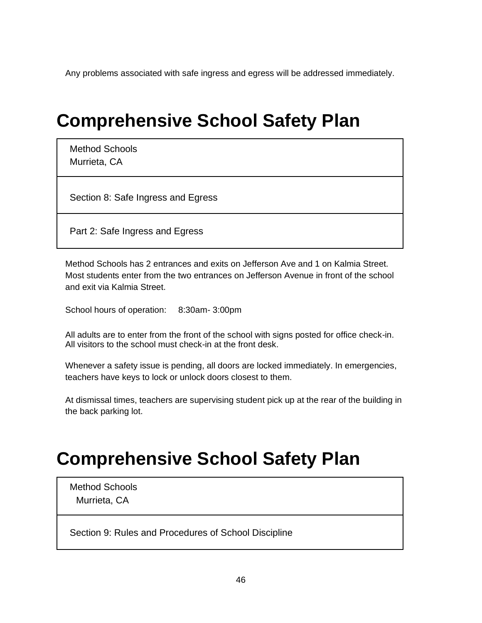Any problems associated with safe ingress and egress will be addressed immediately.

## **Comprehensive School Safety Plan**

Method Schools Murrieta, CA

Section 8: Safe Ingress and Egress

Part 2: Safe Ingress and Egress

Method Schools has 2 entrances and exits on Jefferson Ave and 1 on Kalmia Street. Most students enter from the two entrances on Jefferson Avenue in front of the school and exit via Kalmia Street.

School hours of operation: 8:30am- 3:00pm

All adults are to enter from the front of the school with signs posted for office check-in. All visitors to the school must check-in at the front desk.

Whenever a safety issue is pending, all doors are locked immediately. In emergencies, teachers have keys to lock or unlock doors closest to them.

At dismissal times, teachers are supervising student pick up at the rear of the building in the back parking lot.

# **Comprehensive School Safety Plan**

Method Schools Murrieta, CA

Section 9: Rules and Procedures of School Discipline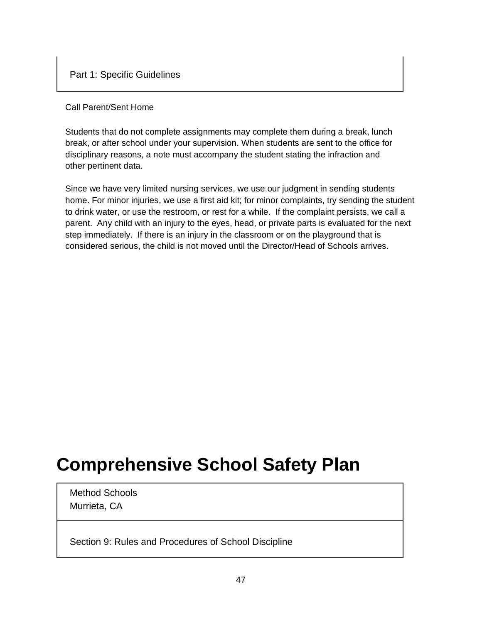#### Call Parent/Sent Home

Students that do not complete assignments may complete them during a break, lunch break, or after school under your supervision. When students are sent to the office for disciplinary reasons, a note must accompany the student stating the infraction and other pertinent data.

Since we have very limited nursing services, we use our judgment in sending students home. For minor injuries, we use a first aid kit; for minor complaints, try sending the student to drink water, or use the restroom, or rest for a while. If the complaint persists, we call a parent. Any child with an injury to the eyes, head, or private parts is evaluated for the next step immediately. If there is an injury in the classroom or on the playground that is considered serious, the child is not moved until the Director/Head of Schools arrives.

## **Comprehensive School Safety Plan**

Method Schools Murrieta, CA

Section 9: Rules and Procedures of School Discipline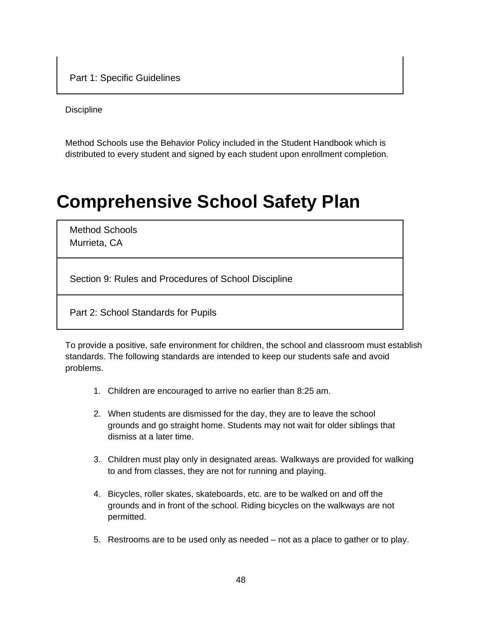Part 1: Specific Guidelines

**Discipline** 

Method Schools use the Behavior Policy included in the Student Handbook which is distributed to every student and signed by each student upon enrollment completion.

### **Comprehensive School Safety Plan**

Method Schools Murrieta, CA

Section 9: Rules and Procedures of School Discipline

Part 2: School Standards for Pupils

To provide a positive, safe environment for children, the school and classroom must establish standards. The following standards are intended to keep our students safe and avoid problems.

- 1. Children are encouraged to arrive no earlier than 8:25 am.
- 2. When students are dismissed for the day, they are to leave the school grounds and go straight home. Students may not wait for older siblings that dismiss at a later time.
- 3. Children must play only in designated areas. Walkways are provided for walking to and from classes, they are not for running and playing.
- 4. Bicycles, roller skates, skateboards, etc. are to be walked on and off the grounds and in front of the school. Riding bicycles on the walkways are not permitted.
- 5. Restrooms are to be used only as needed not as a place to gather or to play.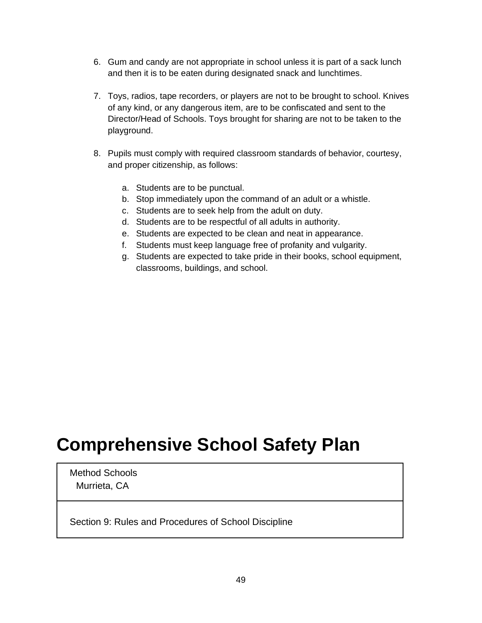- 6. Gum and candy are not appropriate in school unless it is part of a sack lunch and then it is to be eaten during designated snack and lunchtimes.
- 7. Toys, radios, tape recorders, or players are not to be brought to school. Knives of any kind, or any dangerous item, are to be confiscated and sent to the Director/Head of Schools. Toys brought for sharing are not to be taken to the playground.
- 8. Pupils must comply with required classroom standards of behavior, courtesy, and proper citizenship, as follows:
	- a. Students are to be punctual.
	- b. Stop immediately upon the command of an adult or a whistle.
	- c. Students are to seek help from the adult on duty.
	- d. Students are to be respectful of all adults in authority.
	- e. Students are expected to be clean and neat in appearance.
	- f. Students must keep language free of profanity and vulgarity.
	- g. Students are expected to take pride in their books, school equipment, classrooms, buildings, and school.

### **Comprehensive School Safety Plan**

Method Schools Murrieta, CA

Section 9: Rules and Procedures of School Discipline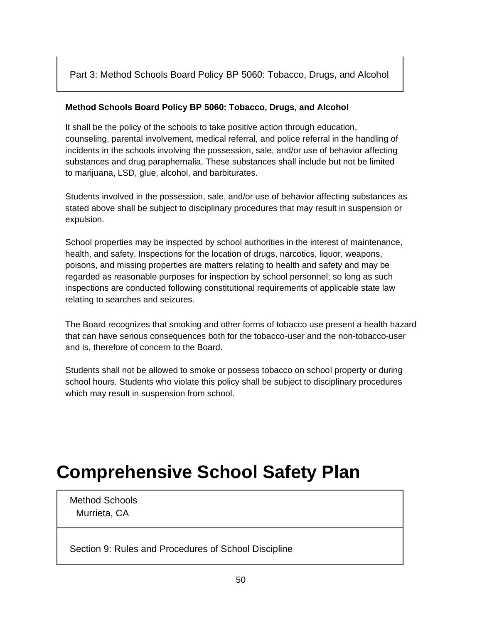Part 3: Method Schools Board Policy BP 5060: Tobacco, Drugs, and Alcohol

#### **Method Schools Board Policy BP 5060: Tobacco, Drugs, and Alcohol**

It shall be the policy of the schools to take positive action through education, counseling, parental involvement, medical referral, and police referral in the handling of incidents in the schools involving the possession, sale, and/or use of behavior affecting substances and drug paraphernalia. These substances shall include but not be limited to marijuana, LSD, glue, alcohol, and barbiturates.

Students involved in the possession, sale, and/or use of behavior affecting substances as stated above shall be subject to disciplinary procedures that may result in suspension or expulsion.

School properties may be inspected by school authorities in the interest of maintenance, health, and safety. Inspections for the location of drugs, narcotics, liquor, weapons, poisons, and missing properties are matters relating to health and safety and may be regarded as reasonable purposes for inspection by school personnel; so long as such inspections are conducted following constitutional requirements of applicable state law relating to searches and seizures.

The Board recognizes that smoking and other forms of tobacco use present a health hazard that can have serious consequences both for the tobacco-user and the non-tobacco-user and is, therefore of concern to the Board.

Students shall not be allowed to smoke or possess tobacco on school property or during school hours. Students who violate this policy shall be subject to disciplinary procedures which may result in suspension from school.

# **Comprehensive School Safety Plan**

Method Schools Murrieta, CA

Section 9: Rules and Procedures of School Discipline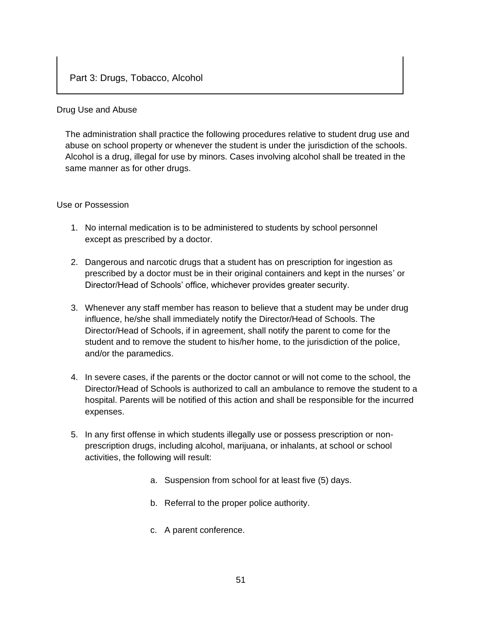#### Drug Use and Abuse

The administration shall practice the following procedures relative to student drug use and abuse on school property or whenever the student is under the jurisdiction of the schools. Alcohol is a drug, illegal for use by minors. Cases involving alcohol shall be treated in the same manner as for other drugs.

#### Use or Possession

- 1. No internal medication is to be administered to students by school personnel except as prescribed by a doctor.
- 2. Dangerous and narcotic drugs that a student has on prescription for ingestion as prescribed by a doctor must be in their original containers and kept in the nurses' or Director/Head of Schools' office, whichever provides greater security.
- 3. Whenever any staff member has reason to believe that a student may be under drug influence, he/she shall immediately notify the Director/Head of Schools. The Director/Head of Schools, if in agreement, shall notify the parent to come for the student and to remove the student to his/her home, to the jurisdiction of the police, and/or the paramedics.
- 4. In severe cases, if the parents or the doctor cannot or will not come to the school, the Director/Head of Schools is authorized to call an ambulance to remove the student to a hospital. Parents will be notified of this action and shall be responsible for the incurred expenses.
- 5. In any first offense in which students illegally use or possess prescription or nonprescription drugs, including alcohol, marijuana, or inhalants, at school or school activities, the following will result:
	- a. Suspension from school for at least five (5) days.
	- b. Referral to the proper police authority.
	- c. A parent conference.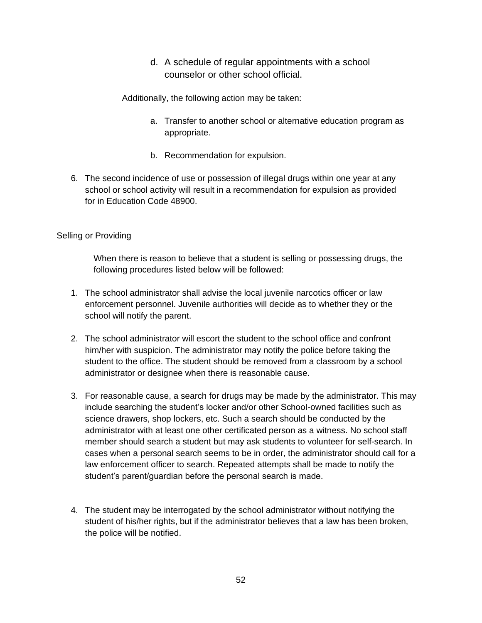d. A schedule of regular appointments with a school counselor or other school official.

Additionally, the following action may be taken:

- a. Transfer to another school or alternative education program as appropriate.
- b. Recommendation for expulsion.
- 6. The second incidence of use or possession of illegal drugs within one year at any school or school activity will result in a recommendation for expulsion as provided for in Education Code 48900.

#### Selling or Providing

When there is reason to believe that a student is selling or possessing drugs, the following procedures listed below will be followed:

- 1. The school administrator shall advise the local juvenile narcotics officer or law enforcement personnel. Juvenile authorities will decide as to whether they or the school will notify the parent.
- 2. The school administrator will escort the student to the school office and confront him/her with suspicion. The administrator may notify the police before taking the student to the office. The student should be removed from a classroom by a school administrator or designee when there is reasonable cause.
- 3. For reasonable cause, a search for drugs may be made by the administrator. This may include searching the student's locker and/or other School-owned facilities such as science drawers, shop lockers, etc. Such a search should be conducted by the administrator with at least one other certificated person as a witness. No school staff member should search a student but may ask students to volunteer for self-search. In cases when a personal search seems to be in order, the administrator should call for a law enforcement officer to search. Repeated attempts shall be made to notify the student's parent/guardian before the personal search is made.
- 4. The student may be interrogated by the school administrator without notifying the student of his/her rights, but if the administrator believes that a law has been broken, the police will be notified.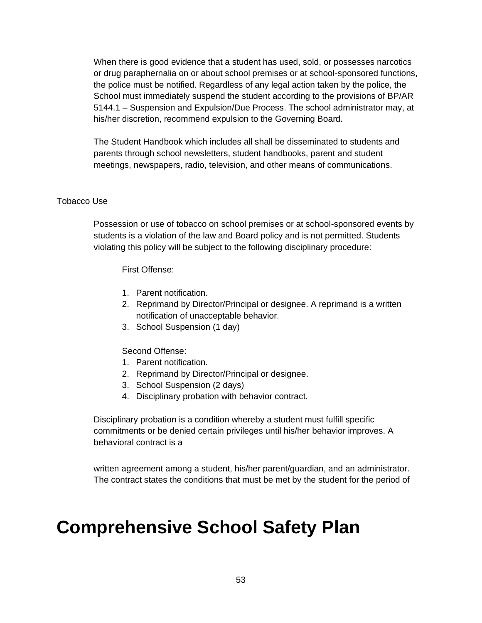When there is good evidence that a student has used, sold, or possesses narcotics or drug paraphernalia on or about school premises or at school-sponsored functions, the police must be notified. Regardless of any legal action taken by the police, the School must immediately suspend the student according to the provisions of BP/AR 5144.1 – Suspension and Expulsion/Due Process. The school administrator may, at his/her discretion, recommend expulsion to the Governing Board.

The Student Handbook which includes all shall be disseminated to students and parents through school newsletters, student handbooks, parent and student meetings, newspapers, radio, television, and other means of communications.

#### Tobacco Use

Possession or use of tobacco on school premises or at school-sponsored events by students is a violation of the law and Board policy and is not permitted. Students violating this policy will be subject to the following disciplinary procedure:

First Offense:

- 1. Parent notification.
- 2. Reprimand by Director/Principal or designee. A reprimand is a written notification of unacceptable behavior.
- 3. School Suspension (1 day)

#### Second Offense:

- 1. Parent notification.
- 2. Reprimand by Director/Principal or designee.
- 3. School Suspension (2 days)
- 4. Disciplinary probation with behavior contract.

Disciplinary probation is a condition whereby a student must fulfill specific commitments or be denied certain privileges until his/her behavior improves. A behavioral contract is a

written agreement among a student, his/her parent/guardian, and an administrator. The contract states the conditions that must be met by the student for the period of

# **Comprehensive School Safety Plan**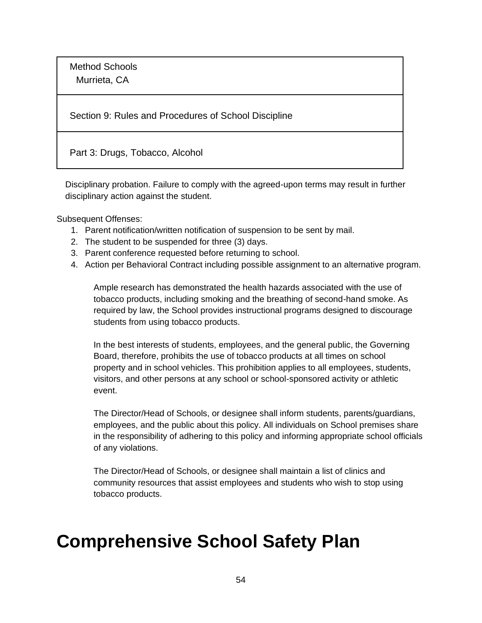Method Schools Murrieta, CA

Section 9: Rules and Procedures of School Discipline

Part 3: Drugs, Tobacco, Alcohol

Disciplinary probation. Failure to comply with the agreed-upon terms may result in further disciplinary action against the student.

Subsequent Offenses:

- 1. Parent notification/written notification of suspension to be sent by mail.
- 2. The student to be suspended for three (3) days.
- 3. Parent conference requested before returning to school.
- 4. Action per Behavioral Contract including possible assignment to an alternative program.

Ample research has demonstrated the health hazards associated with the use of tobacco products, including smoking and the breathing of second-hand smoke. As required by law, the School provides instructional programs designed to discourage students from using tobacco products.

In the best interests of students, employees, and the general public, the Governing Board, therefore, prohibits the use of tobacco products at all times on school property and in school vehicles. This prohibition applies to all employees, students, visitors, and other persons at any school or school-sponsored activity or athletic event.

The Director/Head of Schools, or designee shall inform students, parents/guardians, employees, and the public about this policy. All individuals on School premises share in the responsibility of adhering to this policy and informing appropriate school officials of any violations.

The Director/Head of Schools, or designee shall maintain a list of clinics and community resources that assist employees and students who wish to stop using tobacco products.

## **Comprehensive School Safety Plan**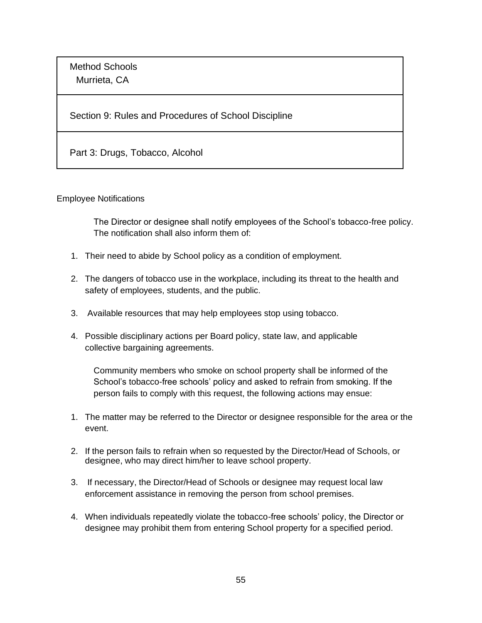Method Schools Murrieta, CA

Section 9: Rules and Procedures of School Discipline

Part 3: Drugs, Tobacco, Alcohol

Employee Notifications

The Director or designee shall notify employees of the School's tobacco-free policy. The notification shall also inform them of:

- 1. Their need to abide by School policy as a condition of employment.
- 2. The dangers of tobacco use in the workplace, including its threat to the health and safety of employees, students, and the public.
- 3. Available resources that may help employees stop using tobacco.
- 4. Possible disciplinary actions per Board policy, state law, and applicable collective bargaining agreements.

Community members who smoke on school property shall be informed of the School's tobacco-free schools' policy and asked to refrain from smoking. If the person fails to comply with this request, the following actions may ensue:

- 1. The matter may be referred to the Director or designee responsible for the area or the event.
- 2. If the person fails to refrain when so requested by the Director/Head of Schools, or designee, who may direct him/her to leave school property.
- 3. If necessary, the Director/Head of Schools or designee may request local law enforcement assistance in removing the person from school premises.
- 4. When individuals repeatedly violate the tobacco-free schools' policy, the Director or designee may prohibit them from entering School property for a specified period.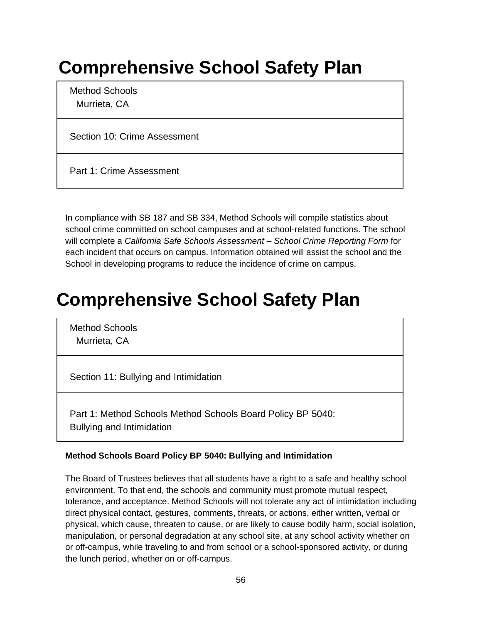# **Comprehensive School Safety Plan**

Method Schools Murrieta, CA

Section 10: Crime Assessment

Part 1: Crime Assessment

In compliance with SB 187 and SB 334, Method Schools will compile statistics about school crime committed on school campuses and at school-related functions. The school will complete a *California Safe Schools Assessment – School Crime Reporting Form* for each incident that occurs on campus. Information obtained will assist the school and the School in developing programs to reduce the incidence of crime on campus.

# **Comprehensive School Safety Plan**

Method Schools Murrieta, CA

Section 11: Bullying and Intimidation

Part 1: Method Schools Method Schools Board Policy BP 5040: Bullying and Intimidation

#### **Method Schools Board Policy BP 5040: Bullying and Intimidation**

The Board of Trustees believes that all students have a right to a safe and healthy school environment. To that end, the schools and community must promote mutual respect, tolerance, and acceptance. Method Schools will not tolerate any act of intimidation including direct physical contact, gestures, comments, threats, or actions, either written, verbal or physical, which cause, threaten to cause, or are likely to cause bodily harm, social isolation, manipulation, or personal degradation at any school site, at any school activity whether on or off-campus, while traveling to and from school or a school-sponsored activity, or during the lunch period, whether on or off-campus.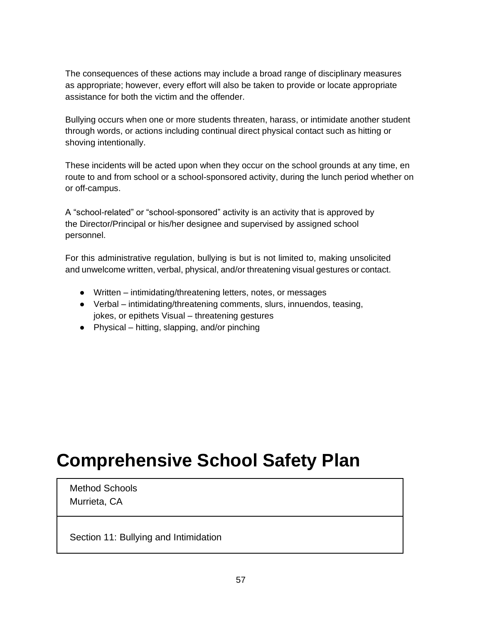The consequences of these actions may include a broad range of disciplinary measures as appropriate; however, every effort will also be taken to provide or locate appropriate assistance for both the victim and the offender.

Bullying occurs when one or more students threaten, harass, or intimidate another student through words, or actions including continual direct physical contact such as hitting or shoving intentionally.

These incidents will be acted upon when they occur on the school grounds at any time, en route to and from school or a school-sponsored activity, during the lunch period whether on or off-campus.

A "school-related" or "school-sponsored" activity is an activity that is approved by the Director/Principal or his/her designee and supervised by assigned school personnel.

For this administrative regulation, bullying is but is not limited to, making unsolicited and unwelcome written, verbal, physical, and/or threatening visual gestures or contact.

- Written intimidating/threatening letters, notes, or messages
- Verbal intimidating/threatening comments, slurs, innuendos, teasing, jokes, or epithets Visual – threatening gestures
- $\bullet$  Physical hitting, slapping, and/or pinching

# **Comprehensive School Safety Plan**

Method Schools Murrieta, CA

Section 11: Bullying and Intimidation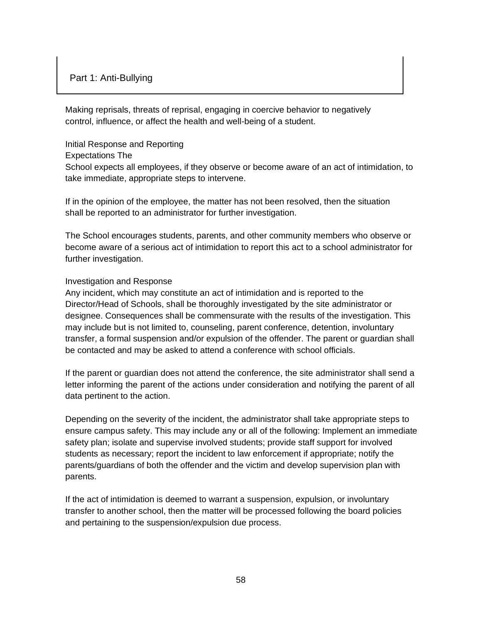Making reprisals, threats of reprisal, engaging in coercive behavior to negatively control, influence, or affect the health and well-being of a student.

#### Initial Response and Reporting

Expectations The

School expects all employees, if they observe or become aware of an act of intimidation, to take immediate, appropriate steps to intervene.

If in the opinion of the employee, the matter has not been resolved, then the situation shall be reported to an administrator for further investigation.

The School encourages students, parents, and other community members who observe or become aware of a serious act of intimidation to report this act to a school administrator for further investigation.

#### Investigation and Response

Any incident, which may constitute an act of intimidation and is reported to the Director/Head of Schools, shall be thoroughly investigated by the site administrator or designee. Consequences shall be commensurate with the results of the investigation. This may include but is not limited to, counseling, parent conference, detention, involuntary transfer, a formal suspension and/or expulsion of the offender. The parent or guardian shall be contacted and may be asked to attend a conference with school officials.

If the parent or guardian does not attend the conference, the site administrator shall send a letter informing the parent of the actions under consideration and notifying the parent of all data pertinent to the action.

Depending on the severity of the incident, the administrator shall take appropriate steps to ensure campus safety. This may include any or all of the following: Implement an immediate safety plan; isolate and supervise involved students; provide staff support for involved students as necessary; report the incident to law enforcement if appropriate; notify the parents/guardians of both the offender and the victim and develop supervision plan with parents.

If the act of intimidation is deemed to warrant a suspension, expulsion, or involuntary transfer to another school, then the matter will be processed following the board policies and pertaining to the suspension/expulsion due process.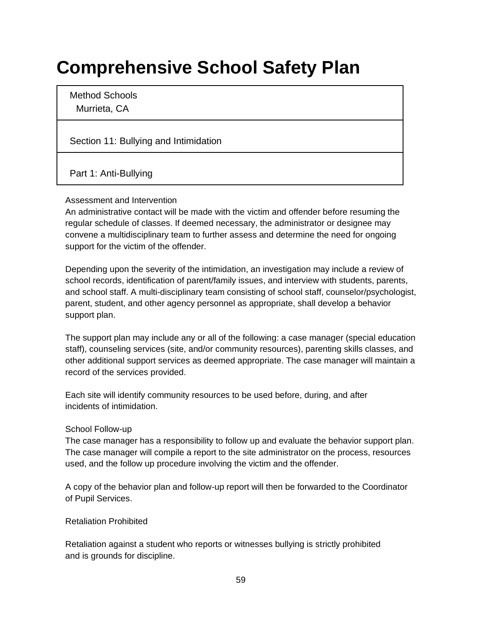# **Comprehensive School Safety Plan**

Method Schools Murrieta, CA

Section 11: Bullying and Intimidation

Part 1: Anti-Bullying

#### Assessment and Intervention

An administrative contact will be made with the victim and offender before resuming the regular schedule of classes. If deemed necessary, the administrator or designee may convene a multidisciplinary team to further assess and determine the need for ongoing support for the victim of the offender.

Depending upon the severity of the intimidation, an investigation may include a review of school records, identification of parent/family issues, and interview with students, parents, and school staff. A multi-disciplinary team consisting of school staff, counselor/psychologist, parent, student, and other agency personnel as appropriate, shall develop a behavior support plan.

The support plan may include any or all of the following: a case manager (special education staff), counseling services (site, and/or community resources), parenting skills classes, and other additional support services as deemed appropriate. The case manager will maintain a record of the services provided.

Each site will identify community resources to be used before, during, and after incidents of intimidation.

#### School Follow-up

The case manager has a responsibility to follow up and evaluate the behavior support plan. The case manager will compile a report to the site administrator on the process, resources used, and the follow up procedure involving the victim and the offender.

A copy of the behavior plan and follow-up report will then be forwarded to the Coordinator of Pupil Services.

#### Retaliation Prohibited

Retaliation against a student who reports or witnesses bullying is strictly prohibited and is grounds for discipline.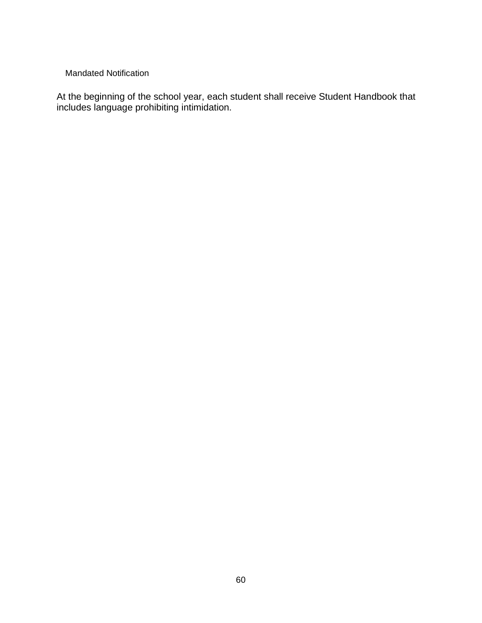#### Mandated Notification

At the beginning of the school year, each student shall receive Student Handbook that includes language prohibiting intimidation.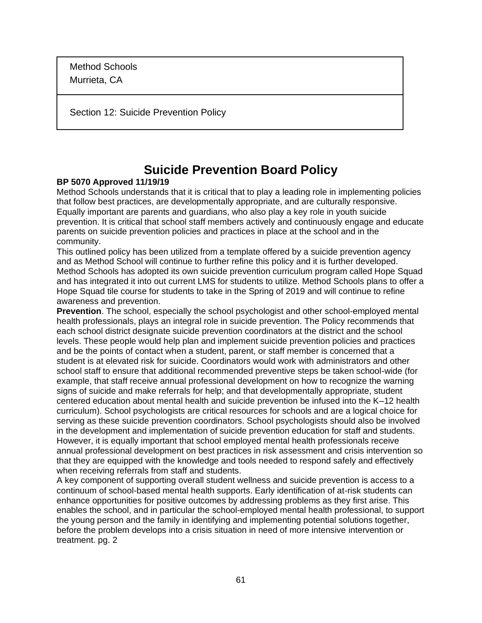Method Schools Murrieta, CA

Section 12: Suicide Prevention Policy

### **Suicide Prevention Board Policy**

#### **BP 5070 Approved 11/19/19**

Method Schools understands that it is critical that to play a leading role in implementing policies that follow best practices, are developmentally appropriate, and are culturally responsive. Equally important are parents and guardians, who also play a key role in youth suicide prevention. It is critical that school staff members actively and continuously engage and educate parents on suicide prevention policies and practices in place at the school and in the community.

This outlined policy has been utilized from a template offered by a suicide prevention agency and as Method School will continue to further refine this policy and it is further developed. Method Schools has adopted its own suicide prevention curriculum program called Hope Squad and has integrated it into out current LMS for students to utilize. Method Schools plans to offer a Hope Squad tile course for students to take in the Spring of 2019 and will continue to refine awareness and prevention.

**Prevention**. The school, especially the school psychologist and other school-employed mental health professionals, plays an integral role in suicide prevention. The Policy recommends that each school district designate suicide prevention coordinators at the district and the school levels. These people would help plan and implement suicide prevention policies and practices and be the points of contact when a student, parent, or staff member is concerned that a student is at elevated risk for suicide. Coordinators would work with administrators and other school staff to ensure that additional recommended preventive steps be taken school-wide (for example, that staff receive annual professional development on how to recognize the warning signs of suicide and make referrals for help; and that developmentally appropriate, student centered education about mental health and suicide prevention be infused into the K–12 health curriculum). School psychologists are critical resources for schools and are a logical choice for serving as these suicide prevention coordinators. School psychologists should also be involved in the development and implementation of suicide prevention education for staff and students. However, it is equally important that school employed mental health professionals receive annual professional development on best practices in risk assessment and crisis intervention so that they are equipped with the knowledge and tools needed to respond safely and effectively when receiving referrals from staff and students.

A key component of supporting overall student wellness and suicide prevention is access to a continuum of school-based mental health supports. Early identification of at-risk students can enhance opportunities for positive outcomes by addressing problems as they first arise. This enables the school, and in particular the school-employed mental health professional, to support the young person and the family in identifying and implementing potential solutions together, before the problem develops into a crisis situation in need of more intensive intervention or treatment. pg. 2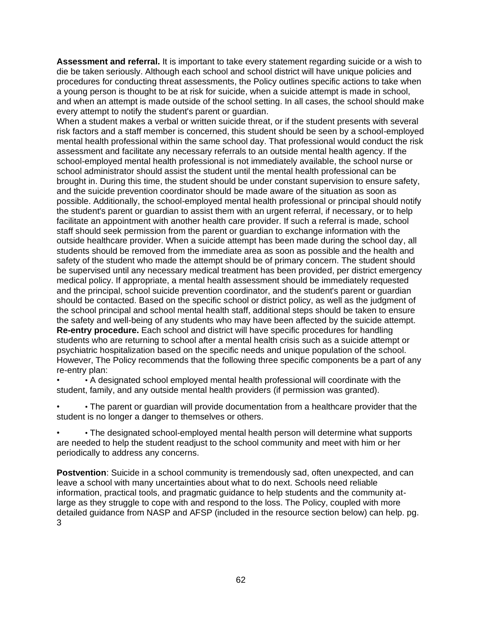**Assessment and referral.** It is important to take every statement regarding suicide or a wish to die be taken seriously. Although each school and school district will have unique policies and procedures for conducting threat assessments, the Policy outlines specific actions to take when a young person is thought to be at risk for suicide, when a suicide attempt is made in school, and when an attempt is made outside of the school setting. In all cases, the school should make every attempt to notify the student's parent or guardian.

When a student makes a verbal or written suicide threat, or if the student presents with several risk factors and a staff member is concerned, this student should be seen by a school-employed mental health professional within the same school day. That professional would conduct the risk assessment and facilitate any necessary referrals to an outside mental health agency. If the school-employed mental health professional is not immediately available, the school nurse or school administrator should assist the student until the mental health professional can be brought in. During this time, the student should be under constant supervision to ensure safety, and the suicide prevention coordinator should be made aware of the situation as soon as possible. Additionally, the school-employed mental health professional or principal should notify the student's parent or guardian to assist them with an urgent referral, if necessary, or to help facilitate an appointment with another health care provider. If such a referral is made, school staff should seek permission from the parent or guardian to exchange information with the outside healthcare provider. When a suicide attempt has been made during the school day, all students should be removed from the immediate area as soon as possible and the health and safety of the student who made the attempt should be of primary concern. The student should be supervised until any necessary medical treatment has been provided, per district emergency medical policy. If appropriate, a mental health assessment should be immediately requested and the principal, school suicide prevention coordinator, and the student's parent or guardian should be contacted. Based on the specific school or district policy, as well as the judgment of the school principal and school mental health staff, additional steps should be taken to ensure the safety and well-being of any students who may have been affected by the suicide attempt. **Re-entry procedure.** Each school and district will have specific procedures for handling students who are returning to school after a mental health crisis such as a suicide attempt or psychiatric hospitalization based on the specific needs and unique population of the school. However, The Policy recommends that the following three specific components be a part of any re-entry plan:

• • A designated school employed mental health professional will coordinate with the student, family, and any outside mental health providers (if permission was granted).

• • The parent or guardian will provide documentation from a healthcare provider that the student is no longer a danger to themselves or others.

• • The designated school-employed mental health person will determine what supports are needed to help the student readjust to the school community and meet with him or her periodically to address any concerns.

**Postvention**: Suicide in a school community is tremendously sad, often unexpected, and can leave a school with many uncertainties about what to do next. Schools need reliable information, practical tools, and pragmatic guidance to help students and the community atlarge as they struggle to cope with and respond to the loss. The Policy, coupled with more detailed guidance from NASP and AFSP (included in the resource section below) can help. pg. 3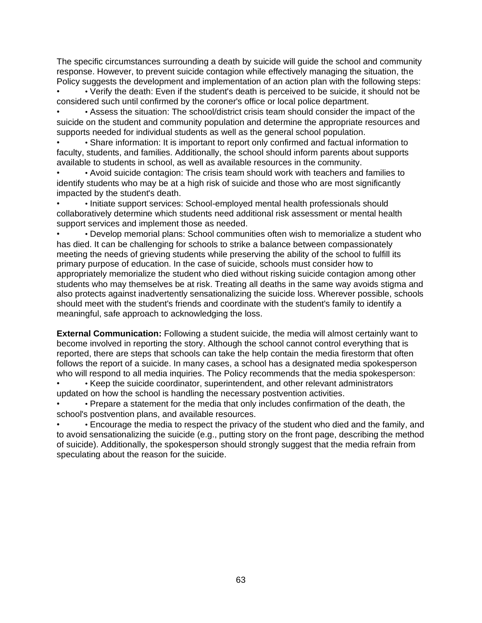The specific circumstances surrounding a death by suicide will guide the school and community response. However, to prevent suicide contagion while effectively managing the situation, the Policy suggests the development and implementation of an action plan with the following steps:

• • Verify the death: Even if the student's death is perceived to be suicide, it should not be considered such until confirmed by the coroner's office or local police department.

• • Assess the situation: The school/district crisis team should consider the impact of the suicide on the student and community population and determine the appropriate resources and supports needed for individual students as well as the general school population.

• • Share information: It is important to report only confirmed and factual information to faculty, students, and families. Additionally, the school should inform parents about supports available to students in school, as well as available resources in the community.

• • Avoid suicide contagion: The crisis team should work with teachers and families to identify students who may be at a high risk of suicide and those who are most significantly impacted by the student's death.

• • Initiate support services: School-employed mental health professionals should collaboratively determine which students need additional risk assessment or mental health support services and implement those as needed.

• • Develop memorial plans: School communities often wish to memorialize a student who has died. It can be challenging for schools to strike a balance between compassionately meeting the needs of grieving students while preserving the ability of the school to fulfill its primary purpose of education. In the case of suicide, schools must consider how to appropriately memorialize the student who died without risking suicide contagion among other students who may themselves be at risk. Treating all deaths in the same way avoids stigma and also protects against inadvertently sensationalizing the suicide loss. Wherever possible, schools should meet with the student's friends and coordinate with the student's family to identify a meaningful, safe approach to acknowledging the loss.

**External Communication:** Following a student suicide, the media will almost certainly want to become involved in reporting the story. Although the school cannot control everything that is reported, there are steps that schools can take the help contain the media firestorm that often follows the report of a suicide. In many cases, a school has a designated media spokesperson who will respond to all media inquiries. The Policy recommends that the media spokesperson:

• • Keep the suicide coordinator, superintendent, and other relevant administrators updated on how the school is handling the necessary postvention activities.

• • Prepare a statement for the media that only includes confirmation of the death, the school's postvention plans, and available resources.

• • Encourage the media to respect the privacy of the student who died and the family, and to avoid sensationalizing the suicide (e.g., putting story on the front page, describing the method of suicide). Additionally, the spokesperson should strongly suggest that the media refrain from speculating about the reason for the suicide.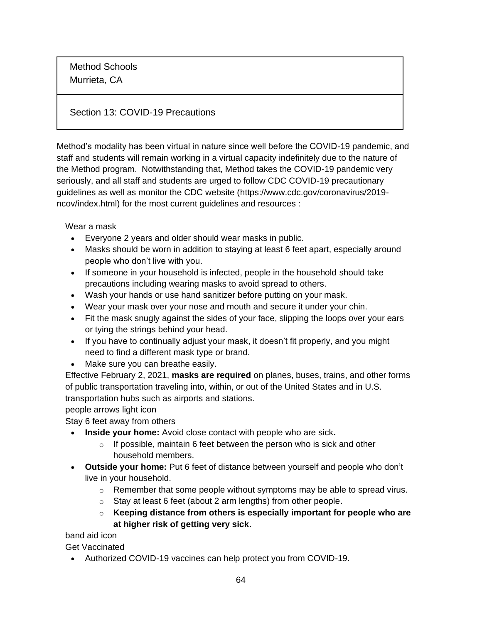Method Schools Murrieta, CA

#### Section 13: COVID-19 Precautions

Method's modality has been virtual in nature since well before the COVID-19 pandemic, and staff and students will remain working in a virtual capacity indefinitely due to the nature of the Method program. Notwithstanding that, Method takes the COVID-19 pandemic very seriously, and all staff and students are urged to follow CDC COVID-19 precautionary guidelines as well as monitor the CDC website (https://www.cdc.gov/coronavirus/2019 ncov/index.html) for the most current guidelines and resources :

Wear a mask

- Everyone 2 years and older should wear masks in public.
- Masks should be worn in addition to staying at least 6 feet apart, especially around people who don't live with you.
- If someone in your household is infected, people in the household [should take](https://www.cdc.gov/coronavirus/2019-ncov/prevent-getting-sick/protect-your-home.html)  [precautions including wearing masks to avoid spread to others.](https://www.cdc.gov/coronavirus/2019-ncov/prevent-getting-sick/protect-your-home.html)
- [Wash your hands](https://www.cdc.gov/handwashing/when-how-handwashing.html) or use hand sanitizer before putting on your mask.
- Wear your mask over your nose and mouth and secure it under your chin.
- Fit the mask snugly against the sides of your face, slipping the loops over your ears or tying the strings behind your head.
- If you have to continually adjust your mask, it doesn't fit properly, and you might need to find a different mask type or brand.
- Make sure you can breathe easily.

Effective February 2, 2021, **[masks are required](https://www.cdc.gov/coronavirus/2019-ncov/travelers/face-masks-public-transportation.html)** on planes, buses, trains, and other forms of public transportation traveling into, within, or out of the United States and in U.S. transportation hubs such as airports and stations.

people arrows light icon

Stay 6 feet away from others

- **Inside your home:** Avoid close contact with people who are sick**.**
	- $\circ$  If possible, maintain 6 feet between the person who is sick and other household members.
- **Outside your home:** Put 6 feet of distance between yourself and people who don't live in your household.
	- $\circ$  Remember that some people without symptoms may be able to spread virus.
	- $\circ$  [Stay at least 6 feet \(about 2 arm lengths\) from other people.](https://www.cdc.gov/coronavirus/2019-ncov/prevent-getting-sick/social-distancing.html)
	- o **Keeping distance from others is especially important for [people who are](https://www.cdc.gov/coronavirus/2019-ncov/need-extra-precautions/people-at-increased-risk.html)  [at higher risk of getting very sick.](https://www.cdc.gov/coronavirus/2019-ncov/need-extra-precautions/people-at-increased-risk.html)**

band aid icon

Get Vaccinated

• Authorized COVID-19 vaccines can help protect you from COVID-19.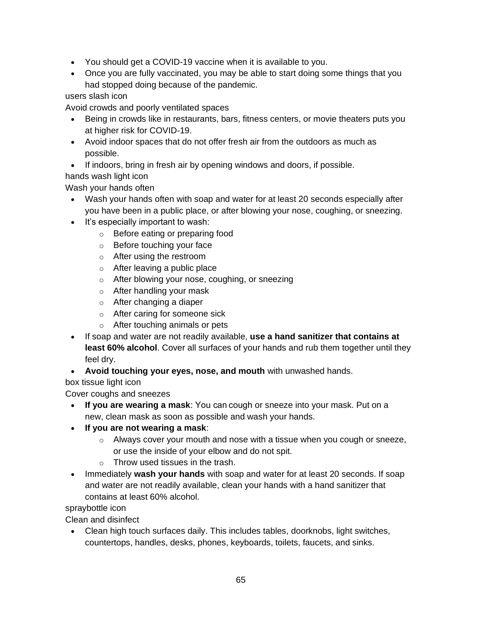- You should get a [COVID-19 vaccine](https://www.cdc.gov/coronavirus/2019-ncov/vaccines/index.html) when it is available to you.
- [Once you are fully vaccinated,](https://www.cdc.gov/coronavirus/2019-ncov/vaccines/fully-vaccinated.html) you may be able to start doing some things that you had stopped doing because of the pandemic.

users slash icon

Avoid crowds and poorly ventilated spaces

- Being in crowds like in restaurants, bars, fitness centers, or movie theaters puts you at higher risk for COVID-19.
- Avoid indoor spaces that do not offer fresh air from the outdoors as much as possible.
- If indoors, bring in fresh air by opening windows and doors, if possible.
- hands wash light icon

Wash your hands often

- [Wash your hands](https://www.cdc.gov/handwashing/when-how-handwashing.html) often with soap and water for at least 20 seconds especially after you have been in a public place, or after blowing your nose, coughing, or sneezing.
- It's especially important to wash:
	- o Before eating or preparing food
	- o Before touching your face
	- o After using the restroom
	- o After leaving a public place
	- o After blowing your nose, coughing, or sneezing
	- o After handling your mask
	- o After changing a diaper
	- o After caring for someone sick
	- o After touching animals or pets
- If soap and water are not readily available, **use a hand sanitizer that contains at least 60% alcohol**. Cover all surfaces of your hands and rub them together until they feel dry.
- **Avoid touching your eyes, nose, and mouth** with unwashed hands.

box tissue light icon

Cover coughs and sneezes

- **If you are wearing a mask**: You can cough or sneeze into your mask. Put on a new, clean mask as soon as possible and wash your hands.
- **If you are not wearing a mask**:
	- $\circ$  Always cover your mouth and nose with a tissue when you cough or sneeze, or use the inside of your elbow and do not spit.
	- $\circ$  Throw used tissues in the trash.
- Immediately **wash your hands** with soap and water for at least 20 seconds. If soap and water are not readily available, clean your hands with a hand sanitizer that contains at least 60% alcohol.

spraybottle icon

Clean and disinfect

• Clean high touch surfaces daily. This includes tables, doorknobs, light switches, countertops, handles, desks, phones, keyboards, toilets, faucets, and sinks.